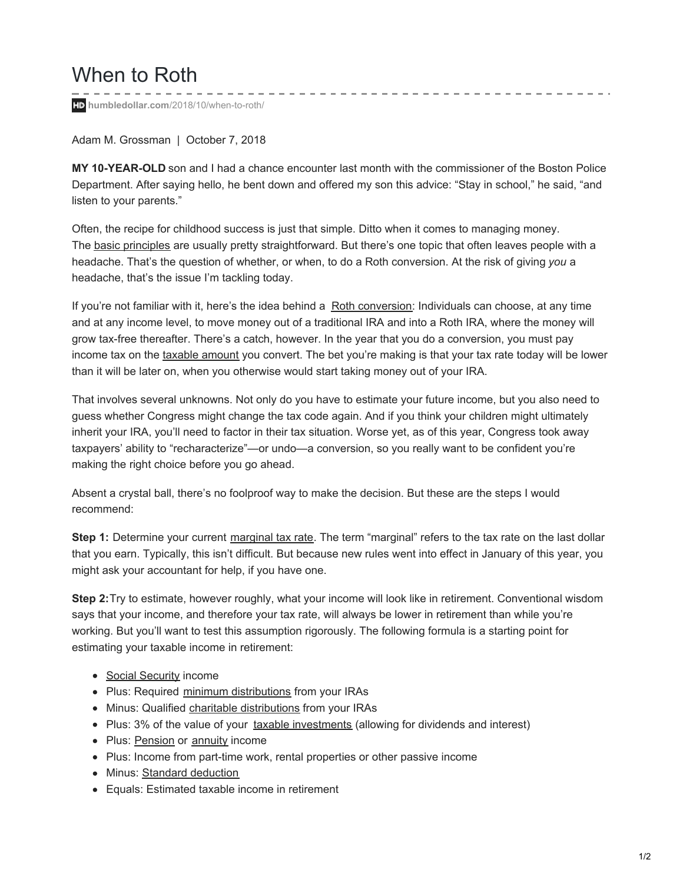## When to Roth

**humbledollar.com**[/2018/10/when-to-roth/](https://humbledollar.com/2018/10/when-to-roth/)

Adam M. Grossman | October 7, 2018

**MY 10-YEAR-OLD** son and I had a chance encounter last month with the commissioner of the Boston Police Department. After saying hello, he bent down and offered my son this advice: "Stay in school," he said, "and listen to your parents."

- - - - - - - - - - - - - -

Often, the recipe for childhood success is just that simple. Ditto when it comes to managing money. The **basic [principles](https://humbledollar.com/2017/11/ten-financial-principles/)** are usually pretty straightforward. But there's one topic that often leaves people with a headache. That's the question of whether, or when, to do a Roth conversion. At the risk of giving *you* a headache, that's the issue I'm tackling today.

If you're not familiar with it, here's the idea behind a Roth [conversion](https://humbledollar.com/money-guide/roth-conversions/): Individuals can choose, at any time and at any income level, to move money out of a traditional IRA and into a Roth IRA, where the money will grow tax-free thereafter. There's a catch, however. In the year that you do a conversion, you must pay income tax on the taxable [amount](https://humbledollar.com/money-guide/converting-nondeductible-iras-to-a-roth/) you convert. The bet you're making is that your tax rate today will be lower than it will be later on, when you otherwise would start taking money out of your IRA.

That involves several unknowns. Not only do you have to estimate your future income, but you also need to guess whether Congress might change the tax code again. And if you think your children might ultimately inherit your IRA, you'll need to factor in their tax situation. Worse yet, as of this year, Congress took away taxpayers' ability to "recharacterize"—or undo—a conversion, so you really want to be confident you're making the right choice before you go ahead.

Absent a crystal ball, there's no foolproof way to make the decision. But these are the steps I would recommend:

**Step 1:** Determine your current [marginal](https://humbledollar.com/money-guide/marginal-vs-average-tax-rates/) tax rate. The term "marginal" refers to the tax rate on the last dollar that you earn. Typically, this isn't difficult. But because new rules went into effect in January of this year, you might ask your accountant for help, if you have one.

**Step 2:**Try to estimate, however roughly, what your income will look like in retirement. Conventional wisdom says that your income, and therefore your tax rate, will always be lower in retirement than while you're working. But you'll want to test this assumption rigorously. The following formula is a starting point for estimating your taxable income in retirement:

- Social [Security](https://humbledollar.com/money-guide/introduction-to-social-security/) income
- Plus: Required minimum [distributions](https://humbledollar.com/money-guide/required-minimum-distributions/) from your IRAs
- Minus: Qualified charitable [distributions](https://humbledollar.com/money-guide/qualified-charitable-distributions/) from your IRAs
- Plus: 3% of the value of your taxable [investments](https://humbledollar.com/money-guide/taxable-accounts/) (allowing for dividends and interest)
- Plus: [Pension](https://humbledollar.com/money-guide/pension-plans/) or [annuity](https://humbledollar.com/money-guide/income-annuities/) income
- Plus: Income from part-time work, rental properties or other passive income
- Minus: Standard [deduction](https://humbledollar.com/money-guide/standard-vs-itemized-deductions/)
- Equals: Estimated taxable income in retirement